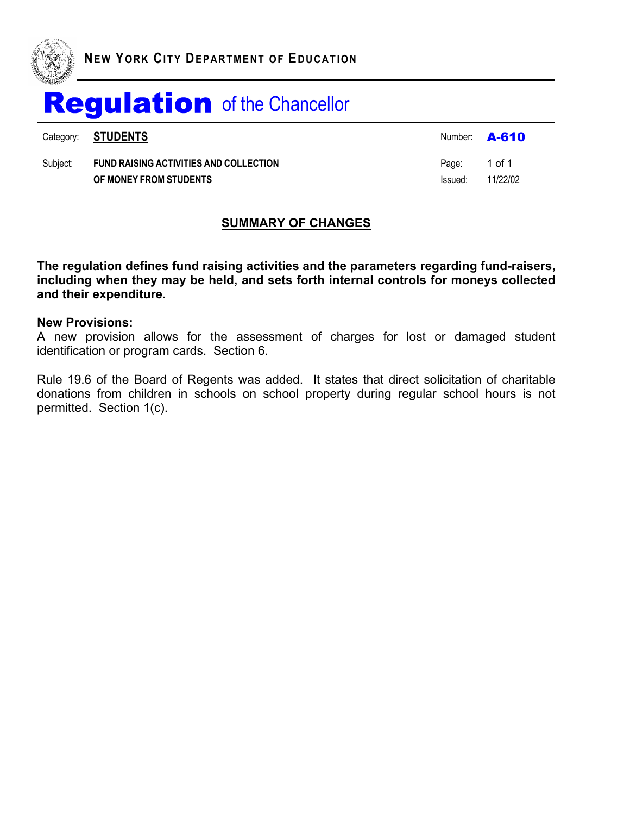

Category: **STUDENTS A-610** 

Subject: **FUND RAISING ACTIVITIES AND COLLECTION** Page: 1 of 1 **OF MONEY FROM STUDENTS** Issued: 11/22/02

### **SUMMARY OF CHANGES**

**The regulation defines fund raising activities and the parameters regarding fund-raisers, including when they may be held, and sets forth internal controls for moneys collected and their expenditure.**

#### **New Provisions:**

A new provision allows for the assessment of charges for lost or damaged student identification or program cards. Section 6.

Rule 19.6 of the Board of Regents was added. It states that direct solicitation of charitable donations from children in schools on school property during regular school hours is not permitted. Section 1(c).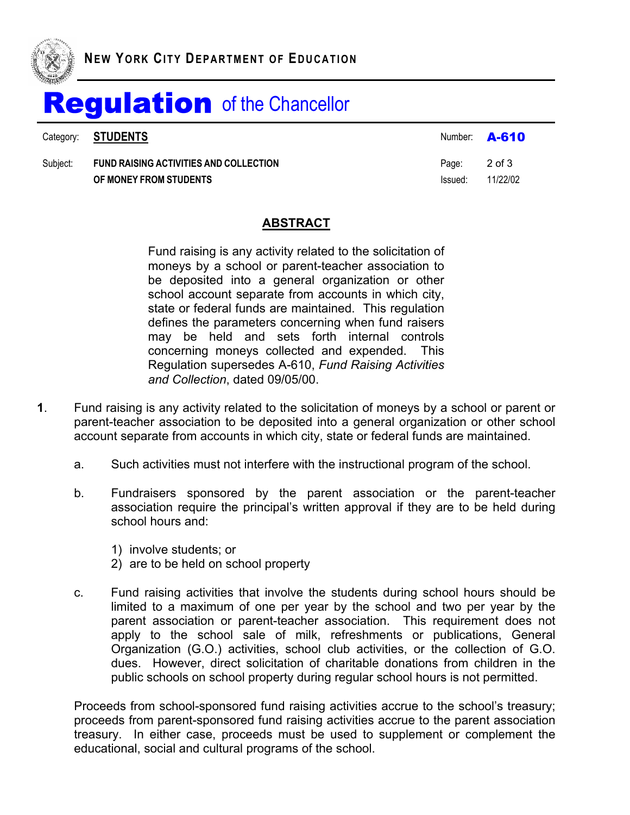

|          | Category: <b>STUDENTS</b>                                               | Number: <b>A-610</b>    |          |
|----------|-------------------------------------------------------------------------|-------------------------|----------|
| Subject: | <b>FUND RAISING ACTIVITIES AND COLLECTION</b><br>OF MONEY FROM STUDENTS | Page: 2 of 3<br>Issued: | 11/22/02 |

#### **ABSTRACT**

Fund raising is any activity related to the solicitation of moneys by a school or parent-teacher association to be deposited into a general organization or other school account separate from accounts in which city, state or federal funds are maintained. This regulation defines the parameters concerning when fund raisers may be held and sets forth internal controls concerning moneys collected and expended. This Regulation supersedes A-610, *Fund Raising Activities and Collection*, dated 09/05/00.

- **1**. Fund raising is any activity related to the solicitation of moneys by a school or parent or parent-teacher association to be deposited into a general organization or other school account separate from accounts in which city, state or federal funds are maintained.
	- a. Such activities must not interfere with the instructional program of the school.
	- b. Fundraisers sponsored by the parent association or the parent-teacher association require the principal's written approval if they are to be held during school hours and:
		- 1) involve students; or
		- 2) are to be held on school property
	- c. Fund raising activities that involve the students during school hours should be limited to a maximum of one per year by the school and two per year by the parent association or parent-teacher association. This requirement does not apply to the school sale of milk, refreshments or publications, General Organization (G.O.) activities, school club activities, or the collection of G.O. dues. However, direct solicitation of charitable donations from children in the public schools on school property during regular school hours is not permitted.

Proceeds from school-sponsored fund raising activities accrue to the school's treasury; proceeds from parent-sponsored fund raising activities accrue to the parent association treasury. In either case, proceeds must be used to supplement or complement the educational, social and cultural programs of the school.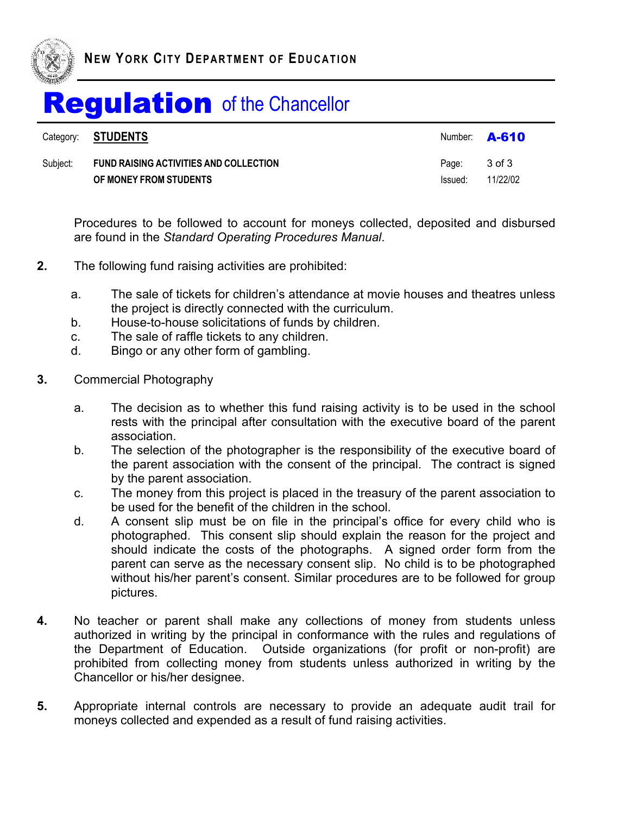

|          | Category: <b>STUDENTS</b>                     |         | Number: $\overline{A-610}$ |
|----------|-----------------------------------------------|---------|----------------------------|
| Subiect: | <b>FUND RAISING ACTIVITIES AND COLLECTION</b> | Page:   | 3 of 3                     |
|          | OF MONEY FROM STUDENTS                        | Issued: | 11/22/02                   |

Procedures to be followed to account for moneys collected, deposited and disbursed are found in the *Standard Operating Procedures Manual*.

- **2.** The following fund raising activities are prohibited:
	- a. The sale of tickets for children's attendance at movie houses and theatres unless the project is directly connected with the curriculum.
	- b. House-to-house solicitations of funds by children.
	- c. The sale of raffle tickets to any children.
	- d. Bingo or any other form of gambling.
- **3.** Commercial Photography
	- a. The decision as to whether this fund raising activity is to be used in the school rests with the principal after consultation with the executive board of the parent association.
	- b. The selection of the photographer is the responsibility of the executive board of the parent association with the consent of the principal. The contract is signed by the parent association.
	- c. The money from this project is placed in the treasury of the parent association to be used for the benefit of the children in the school.
	- d. A consent slip must be on file in the principal's office for every child who is photographed. This consent slip should explain the reason for the project and should indicate the costs of the photographs. A signed order form from the parent can serve as the necessary consent slip. No child is to be photographed without his/her parent's consent. Similar procedures are to be followed for group pictures.
- **4.** No teacher or parent shall make any collections of money from students unless authorized in writing by the principal in conformance with the rules and regulations of the Department of Education. Outside organizations (for profit or non-profit) are prohibited from collecting money from students unless authorized in writing by the Chancellor or his/her designee.
- **5.** Appropriate internal controls are necessary to provide an adequate audit trail for moneys collected and expended as a result of fund raising activities.